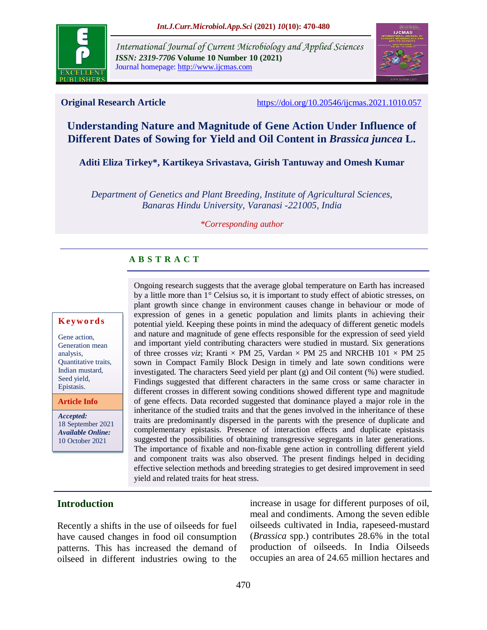

*International Journal of Current Microbiology and Applied Sciences ISSN: 2319-7706* **Volume 10 Number 10 (2021)**  Journal homepage: http://www.ijcmas.com



**Original Research Article** <https://doi.org/10.20546/ijcmas.2021.1010.057>

# **Understanding Nature and Magnitude of Gene Action Under Influence of Different Dates of Sowing for Yield and Oil Content in** *Brassica juncea* **L.**

**Aditi Eliza Tirkey\*, Kartikeya Srivastava, Girish Tantuway and Omesh Kumar**

*Department of Genetics and Plant Breeding, Institute of Agricultural Sciences, Banaras Hindu University, Varanasi -221005, India*

*\*Corresponding author*

# **A B S T R A C T**

#### **K ey w o rd s**

Gene action, Generation mean analysis, Quantitative traits, Indian mustard, Seed yield, Epistasis.

**Article Info**

*Accepted:* 18 September 2021 *Available Online:* 10 October 2021

Ongoing research suggests that the average global temperature on Earth has increased by a little more than 1° Celsius so, it is important to study effect of abiotic stresses, on plant growth since change in environment causes change in behaviour or mode of expression of genes in a genetic population and limits plants in achieving their potential yield. Keeping these points in mind the adequacy of different genetic models and nature and magnitude of gene effects responsible for the expression of seed yield and important yield contributing characters were studied in mustard. Six generations of three crosses *viz*; Kranti  $\times$  PM 25, Vardan  $\times$  PM 25 and NRCHB 101  $\times$  PM 25 sown in Compact Family Block Design in timely and late sown conditions were investigated. The characters Seed yield per plant (g) and Oil content (%) were studied. Findings suggested that different characters in the same cross or same character in different crosses in different sowing conditions showed different type and magnitude of gene effects. Data recorded suggested that dominance played a major role in the inheritance of the studied traits and that the genes involved in the inheritance of these traits are predominantly dispersed in the parents with the presence of duplicate and complementary epistasis. Presence of interaction effects and duplicate epistasis suggested the possibilities of obtaining transgressive segregants in later generations. The importance of fixable and non-fixable gene action in controlling different yield and component traits was also observed. The present findings helped in deciding effective selection methods and breeding strategies to get desired improvement in seed yield and related traits for heat stress.

# **Introduction**

Recently a shifts in the use of oilseeds for fuel have caused changes in food oil consumption patterns. This has increased the demand of oilseed in different industries owing to the

increase in usage for different purposes of oil, meal and condiments. Among the seven edible oilseeds cultivated in India, rapeseed-mustard (*Brassica* spp.) contributes 28.6% in the total production of oilseeds. In India Oilseeds occupies an area of 24.65 million hectares and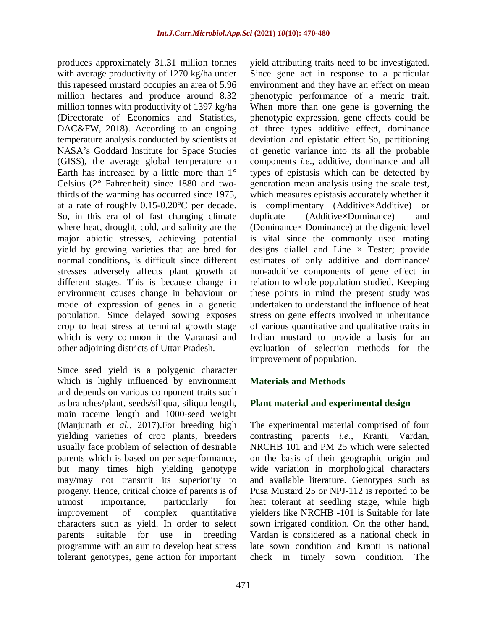produces approximately 31.31 million tonnes with average productivity of 1270 kg/ha under this rapeseed mustard occupies an area of 5.96 million hectares and produce around 8.32 million tonnes with productivity of 1397 kg/ha (Directorate of Economics and Statistics, DAC&FW, 2018). According to an ongoing temperature analysis conducted by scientists at NASA's Goddard Institute for Space Studies (GISS), the average global temperature on Earth has increased by a little more than 1° Celsius (2° Fahrenheit) since 1880 and twothirds of the warming has occurred since 1975, at a rate of roughly 0.15-0.20°C per decade. So, in this era of of fast changing climate where heat, drought, cold, and salinity are the major abiotic stresses, achieving potential yield by growing varieties that are bred for normal conditions, is difficult since different stresses adversely affects plant growth at different stages. This is because change in environment causes change in behaviour or mode of expression of genes in a genetic population. Since delayed sowing exposes crop to heat stress at terminal growth stage which is very common in the Varanasi and other adjoining districts of Uttar Pradesh.

Since seed yield is a polygenic character which is highly influenced by environment and depends on various component traits such as branches/plant, seeds/siliqua, siliqua length, main raceme length and 1000-seed weight (Manjunath *et al.,* 2017).For breeding high yielding varieties of crop plants, breeders usually face problem of selection of desirable parents which is based on per *se*performance, but many times high yielding genotype may/may not transmit its superiority to progeny. Hence, critical choice of parents is of utmost importance, particularly for improvement of complex quantitative characters such as yield. In order to select parents suitable for use in breeding programme with an aim to develop heat stress tolerant genotypes, gene action for important

yield attributing traits need to be investigated. Since gene act in response to a particular environment and they have an effect on mean phenotypic performance of a metric trait. When more than one gene is governing the phenotypic expression, gene effects could be of three types additive effect, dominance deviation and epistatic effect.So, partitioning of genetic variance into its all the probable components *i.e*., additive, dominance and all types of epistasis which can be detected by generation mean analysis using the scale test, which measures epistasis accurately whether it is complimentary (Additive×Additive) or duplicate (Additive×Dominance) and (Dominance× Dominance) at the digenic level is vital since the commonly used mating designs diallel and Line  $\times$  Tester; provide estimates of only additive and dominance/ non-additive components of gene effect in relation to whole population studied. Keeping these points in mind the present study was undertaken to understand the influence of heat stress on gene effects involved in inheritance of various quantitative and qualitative traits in Indian mustard to provide a basis for an evaluation of selection methods for the improvement of population.

# **Materials and Methods**

# **Plant material and experimental design**

The experimental material comprised of four contrasting parents *i.e*., Kranti, Vardan, NRCHB 101 and PM 25 which were selected on the basis of their geographic origin and wide variation in morphological characters and available literature. Genotypes such as Pusa Mustard 25 or NPJ-112 is reported to be heat tolerant at seedling stage, while high yielders like NRCHB -101 is Suitable for late sown irrigated condition. On the other hand, Vardan is considered as a national check in late sown condition and Kranti is national check in timely sown condition. The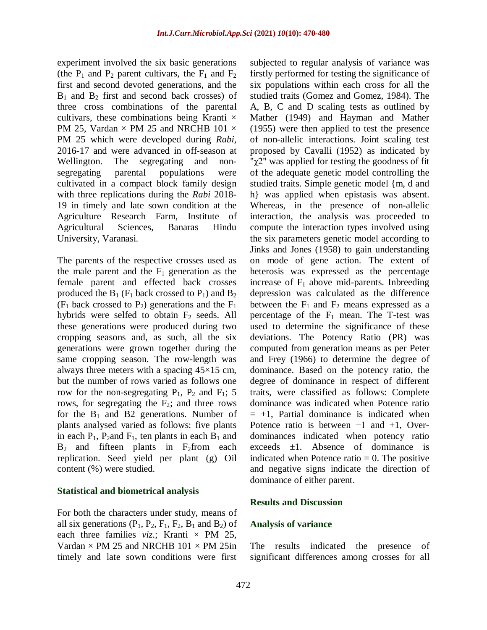experiment involved the six basic generations (the  $P_1$  and  $P_2$  parent cultivars, the  $F_1$  and  $F_2$ first and second devoted generations, and the  $B_1$  and  $B_2$  first and second back crosses) of three cross combinations of the parental cultivars, these combinations being Kranti  $\times$ PM 25, Vardan  $\times$  PM 25 and NRCHB 101  $\times$ PM 25 which were developed during *Rabi,* 2016-17 and were advanced in off-season at Wellington. The segregating and nonsegregating parental populations were cultivated in a compact block family design with three replications during the *Rabi* 2018- 19 in timely and late sown condition at the Agriculture Research Farm, Institute of Agricultural Sciences, Banaras Hindu University, Varanasi.

The parents of the respective crosses used as the male parent and the  $F_1$  generation as the female parent and effected back crosses produced the  $B_1$  (F<sub>1</sub> back crossed to P<sub>1</sub>) and  $B_2$  $(F_1$  back crossed to  $P_2$ ) generations and the  $F_1$ hybrids were selfed to obtain  $F_2$  seeds. All these generations were produced during two cropping seasons and, as such, all the six generations were grown together during the same cropping season. The row-length was always three meters with a spacing 45×15 cm, but the number of rows varied as follows one row for the non-segregating  $P_1$ ,  $P_2$  and  $F_1$ ; 5 rows, for segregating the F2; and three rows for the  $B_1$  and B2 generations. Number of plants analysed varied as follows: five plants in each  $P_1$ ,  $P_2$  and  $F_1$ , ten plants in each  $B_1$  and  $B_2$  and fifteen plants in F<sub>2</sub>from each replication. Seed yield per plant (g) Oil content (%) were studied.

### **Statistical and biometrical analysis**

For both the characters under study, means of all six generations  $(P_1, P_2, F_1, F_2, B_1 \text{ and } B_2)$  of each three families  $viz$ .; Kranti  $\times$  PM 25, Vardan  $\times$  PM 25 and NRCHB 101  $\times$  PM 25in timely and late sown conditions were first

subjected to regular analysis of variance was firstly performed for testing the significance of six populations within each cross for all the studied traits (Gomez and Gomez, 1984). The A, B, C and D scaling tests as outlined by Mather (1949) and Hayman and Mather (1955) were then applied to test the presence of non-allelic interactions. Joint scaling test proposed by Cavalli (1952) as indicated by "χ2" was applied for testing the goodness of fit of the adequate genetic model controlling the studied traits. Simple genetic model {m, d and h} was applied when epistasis was absent. Whereas, in the presence of non-allelic interaction, the analysis was proceeded to compute the interaction types involved using the six parameters genetic model according to Jinks and Jones (1958) to gain understanding on mode of gene action. The extent of heterosis was expressed as the percentage increase of  $F_1$  above mid-parents. Inbreeding depression was calculated as the difference between the  $F_1$  and  $F_2$  means expressed as a percentage of the  $F_1$  mean. The T-test was used to determine the significance of these deviations. The Potency Ratio (PR) was computed from generation means as per Peter and Frey (1966) to determine the degree of dominance. Based on the potency ratio, the degree of dominance in respect of different traits, were classified as follows: Complete dominance was indicated when Potence ratio  $= +1$ , Partial dominance is indicated when Potence ratio is between −1 and +1, Overdominances indicated when potency ratio exceeds  $\pm 1$ . Absence of dominance is indicated when Potence ratio  $= 0$ . The positive and negative signs indicate the direction of dominance of either parent.

### **Results and Discussion**

#### **Analysis of variance**

The results indicated the presence of significant differences among crosses for all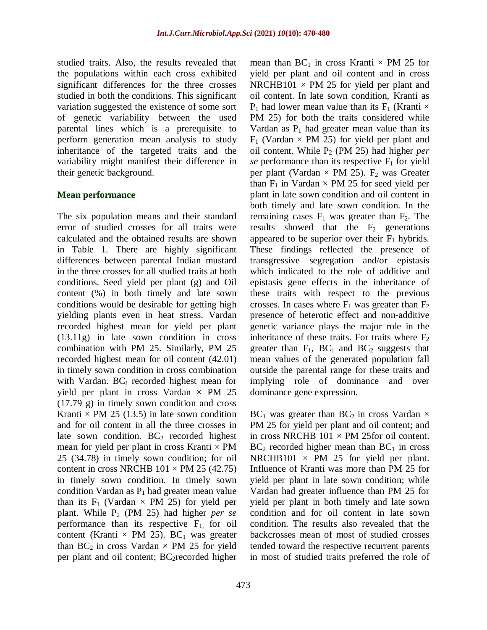studied traits. Also, the results revealed that the populations within each cross exhibited significant differences for the three crosses studied in both the conditions. This significant variation suggested the existence of some sort of genetic variability between the used parental lines which is a prerequisite to perform generation mean analysis to study inheritance of the targeted traits and the variability might manifest their difference in their genetic background.

#### **Mean performance**

The six population means and their standard error of studied crosses for all traits were calculated and the obtained results are shown in Table 1. There are highly significant differences between parental Indian mustard in the three crosses for all studied traits at both conditions. Seed yield per plant (g) and Oil content (%) in both timely and late sown conditions would be desirable for getting high yielding plants even in heat stress. Vardan recorded highest mean for yield per plant (13.11g) in late sown condition in cross combination with PM 25. Similarly, PM 25 recorded highest mean for oil content (42.01) in timely sown condition in cross combination with Vardan.  $BC_1$  recorded highest mean for yield per plant in cross Vardan  $\times$  PM 25 (17.79 g) in timely sown condition and cross Kranti  $\times$  PM 25 (13.5) in late sown condition and for oil content in all the three crosses in late sown condition.  $BC<sub>2</sub>$  recorded highest mean for yield per plant in cross Kranti  $\times$  PM 25 (34.78) in timely sown condition; for oil content in cross NRCHB  $101 \times PM$  25 (42.75) in timely sown condition. In timely sown condition Vardan as  $P_1$  had greater mean value than its  $F_1$  (Vardan  $\times$  PM 25) for yield per plant. While P<sup>2</sup> (PM 25) had higher *per se* performance than its respective  $F_1$ , for oil content (Kranti  $\times$  PM 25). BC<sub>1</sub> was greater than  $BC_2$  in cross Vardan  $\times$  PM 25 for yield per plant and oil content;  $BC<sub>2</sub> recorded higher$ 

mean than  $BC_1$  in cross Kranti  $\times$  PM 25 for yield per plant and oil content and in cross NRCHB101  $\times$  PM 25 for yield per plant and oil content. In late sown condition, Kranti as  $P_1$  had lower mean value than its  $F_1$  (Kranti  $\times$ PM 25) for both the traits considered while Vardan as  $P_1$  had greater mean value than its  $F_1$  (Vardan  $\times$  PM 25) for yield per plant and oil content. While P<sup>2</sup> (PM 25) had higher *per se* performance than its respective  $F_1$  for yield per plant (Vardan  $\times$  PM 25).  $F_2$  was Greater than  $F_1$  in Vardan  $\times$  PM 25 for seed yield per plant in late sown condition and oil content in both timely and late sown condition. In the remaining cases  $F_1$  was greater than  $F_2$ . The results showed that the  $F_2$  generations appeared to be superior over their  $F_1$  hybrids. These findings reflected the presence of transgressive segregation and/or epistasis which indicated to the role of additive and epistasis gene effects in the inheritance of these traits with respect to the previous crosses. In cases where  $F_1$  was greater than  $F_2$ presence of heterotic effect and non-additive genetic variance plays the major role in the inheritance of these traits. For traits where  $F_2$ greater than  $F_1$ ,  $BC_1$  and  $BC_2$  suggests that mean values of the generated population fall outside the parental range for these traits and implying role of dominance and over dominance gene expression.

 $BC_1$  was greater than  $BC_2$  in cross Vardan  $\times$ PM 25 for yield per plant and oil content; and in cross NRCHB  $101 \times PM$  25 for oil content.  $BC<sub>2</sub>$  recorded higher mean than  $BC<sub>1</sub>$  in cross NRCHB101  $\times$  PM 25 for yield per plant. Influence of Kranti was more than PM 25 for yield per plant in late sown condition; while Vardan had greater influence than PM 25 for yield per plant in both timely and late sown condition and for oil content in late sown condition. The results also revealed that the backcrosses mean of most of studied crosses tended toward the respective recurrent parents in most of studied traits preferred the role of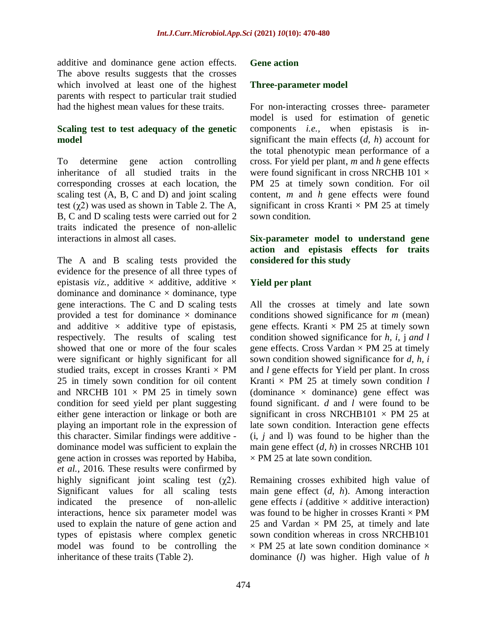additive and dominance gene action effects. The above results suggests that the crosses which involved at least one of the highest parents with respect to particular trait studied had the highest mean values for these traits.

### **Scaling test to test adequacy of the genetic model**

To determine gene action controlling inheritance of all studied traits in the corresponding crosses at each location, the scaling test (A, B, C and D) and joint scaling test  $(\gamma 2)$  was used as shown in Table 2. The A, B, C and D scaling tests were carried out for 2 traits indicated the presence of non-allelic interactions in almost all cases.

The A and B scaling tests provided the evidence for the presence of all three types of epistasis *viz.*, additive  $\times$  additive, additive  $\times$ dominance and dominance  $\times$  dominance, type gene interactions. The C and D scaling tests provided a test for dominance  $\times$  dominance and additive  $\times$  additive type of epistasis, respectively. The results of scaling test showed that one or more of the four scales were significant or highly significant for all studied traits, except in crosses Kranti  $\times$  PM 25 in timely sown condition for oil content and NRCHB  $101 \times PM$  25 in timely sown condition for seed yield per plant suggesting either gene interaction or linkage or both are playing an important role in the expression of this character. Similar findings were additive dominance model was sufficient to explain the gene action in crosses was reported by Habiba, *et al.,* 2016. These results were confirmed by highly significant joint scaling test  $(\chi^2)$ . Significant values for all scaling tests indicated the presence of non-allelic interactions, hence six parameter model was used to explain the nature of gene action and types of epistasis where complex genetic model was found to be controlling the inheritance of these traits (Table 2).

#### **Gene action**

#### **Three-parameter model**

For non-interacting crosses three- parameter model is used for estimation of genetic components *i.e.,* when epistasis is insignificant the main effects (*d, h*) account for the total phenotypic mean performance of a cross. For yield per plant, *m* and *h* gene effects were found significant in cross NRCHB  $101 \times$ PM 25 at timely sown condition. For oil content, *m* and *h* gene effects were found significant in cross Kranti  $\times$  PM 25 at timely sown condition.

## **Six-parameter model to understand gene action and epistasis effects for traits considered for this study**

### **Yield per plant**

All the crosses at timely and late sown conditions showed significance for *m* (mean) gene effects. Kranti  $\times$  PM 25 at timely sown condition showed significance for *h, i,* j *and l* gene effects. Cross Vardan  $\times$  PM 25 at timely sown condition showed significance for *d*, *h, i* and *l* gene effects for Yield per plant. In cross Kranti  $\times$  PM 25 at timely sown condition  $l$ (dominance  $\times$  dominance) gene effect was found significant. *d* and *l* were found to be significant in cross NRCHB101  $\times$  PM 25 at late sown condition. Interaction gene effects (i, *j* and l) was found to be higher than the main gene effect (*d, h*) in crosses NRCHB 101  $\times$  PM 25 at late sown condition.

Remaining crosses exhibited high value of main gene effect (*d, h*). Among interaction gene effects *i* (additive  $\times$  additive interaction) was found to be higher in crosses Kranti  $\times$  PM 25 and Vardan  $\times$  PM 25, at timely and late sown condition whereas in cross NRCHB101  $\times$  PM 25 at late sown condition dominance  $\times$ dominance (*l*) was higher. High value of *h*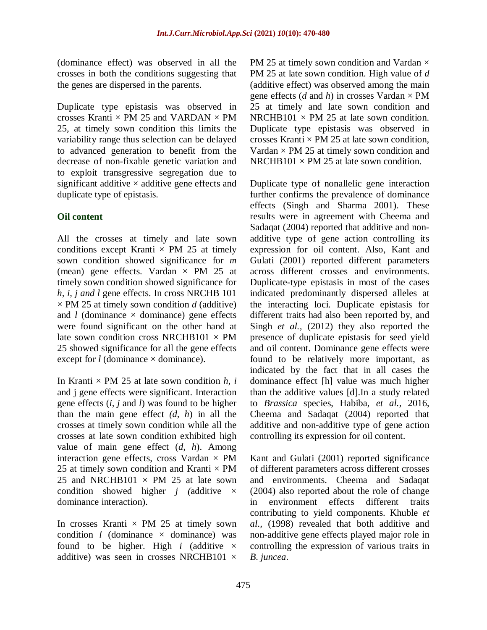(dominance effect) was observed in all the crosses in both the conditions suggesting that the genes are dispersed in the parents.

Duplicate type epistasis was observed in crosses Kranti  $\times$  PM 25 and VARDAN  $\times$  PM 25, at timely sown condition this limits the variability range thus selection can be delayed to advanced generation to benefit from the decrease of non-fixable genetic variation and to exploit transgressive segregation due to significant additive  $\times$  additive gene effects and duplicate type of epistasis.

# **Oil content**

All the crosses at timely and late sown conditions except Kranti  $\times$  PM 25 at timely sown condition showed significance for *m* (mean) gene effects. Vardan  $\times$  PM 25 at timely sown condition showed significance for *h, i, j and l* gene effects. In cross NRCHB 101  $\times$  PM 25 at timely sown condition *d* (additive) and  $l$  (dominance  $\times$  dominance) gene effects were found significant on the other hand at late sown condition cross NRCHB101  $\times$  PM 25 showed significance for all the gene effects except for  $l$  (dominance  $\times$  dominance).

In Kranti  $\times$  PM 25 at late sown condition *h*, *i* and j gene effects were significant. Interaction gene effects (*i, j* and *l*) was found to be higher than the main gene effect *(d, h*) in all the crosses at timely sown condition while all the crosses at late sown condition exhibited high value of main gene effect (*d, h*). Among interaction gene effects, cross Vardan  $\times$  PM 25 at timely sown condition and Kranti  $\times$  PM 25 and NRCHB101  $\times$  PM 25 at late sown condition showed higher *j (additive*  $\times$ dominance interaction).

In crosses Kranti  $\times$  PM 25 at timely sown condition  $l$  (dominance  $\times$  dominance) was found to be higher. High *i* (additive  $\times$ additive) was seen in crosses NRCHB101  $\times$ 

PM 25 at timely sown condition and Vardan  $\times$ PM 25 at late sown condition. High value of *d* (additive effect) was observed among the main gene effects (*d* and *h*) in crosses Vardan  $\times$  PM 25 at timely and late sown condition and NRCHB101  $\times$  PM 25 at late sown condition. Duplicate type epistasis was observed in crosses Kranti  $\times$  PM 25 at late sown condition, Vardan  $\times$  PM 25 at timely sown condition and NRCHB101  $\times$  PM 25 at late sown condition.

Duplicate type of nonallelic gene interaction further confirms the prevalence of dominance effects (Singh and Sharma 2001). These results were in agreement with Cheema and Sadaqat (2004) reported that additive and nonadditive type of gene action controlling its expression for oil content. Also, Kant and Gulati (2001) reported different parameters across different crosses and environments. Duplicate-type epistasis in most of the cases indicated predominantly dispersed alleles at the interacting loci. Duplicate epistasis for different traits had also been reported by, and Singh *et al.,* (2012) they also reported the presence of duplicate epistasis for seed yield and oil content. Dominance gene effects were found to be relatively more important, as indicated by the fact that in all cases the dominance effect [h] value was much higher than the additive values [d].In a study related to *Brassica* species, Habiba, *et al.,* 2016, Cheema and Sadaqat (2004) reported that additive and non-additive type of gene action controlling its expression for oil content.

Kant and Gulati (2001) reported significance of different parameters across different crosses and environments. Cheema and Sadaqat (2004) also reported about the role of change in environment effects different traits contributing to yield components. Khuble *et al*.*,* (1998) revealed that both additive and non-additive gene effects played major role in controlling the expression of various traits in *B. juncea*.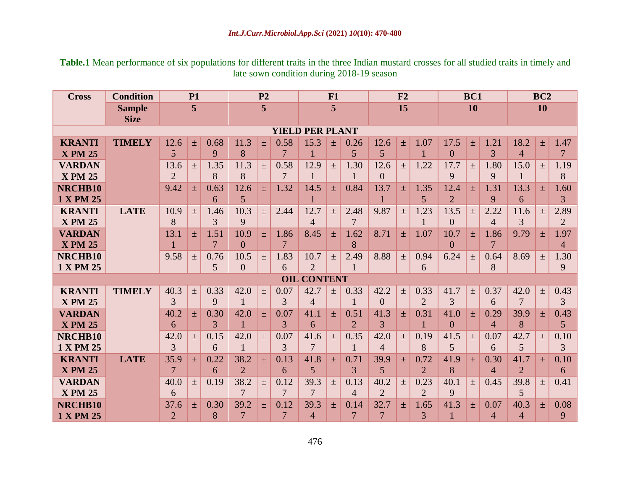**Table.1** Mean performance of six populations for different traits in the three Indian mustard crosses for all studied traits in timely and late sown condition during 2018-19 season

| <b>Cross</b>           | <b>Condition</b> | <b>P1</b>      |       |                | P <sub>2</sub> |       | F1             |                    |       | F2             |                |       | BC1            |                |                   | <b>BC2</b>     |                |                 |                |
|------------------------|------------------|----------------|-------|----------------|----------------|-------|----------------|--------------------|-------|----------------|----------------|-------|----------------|----------------|-------------------|----------------|----------------|-----------------|----------------|
|                        | <b>Sample</b>    | 5              |       |                | 5              |       | 5              |                    |       | 15             |                |       | 10             |                |                   | <b>10</b>      |                |                 |                |
|                        | <b>Size</b>      |                |       |                |                |       |                |                    |       |                |                |       |                |                |                   |                |                |                 |                |
| <b>YIELD PER PLANT</b> |                  |                |       |                |                |       |                |                    |       |                |                |       |                |                |                   |                |                |                 |                |
| <b>KRANTI</b>          | <b>TIMELY</b>    | 12.6           | 士     | 0.68           | 11.3           | 士     | 0.58           | 15.3               | $\pm$ | 0.26           | 12.6           | $+$   | 1.07           | 17.5           | $+$               | 1.21           | 18.2           | $^{+}$          | 1.47           |
| <b>X PM 25</b>         |                  | 5              |       | 9              | 8              |       | 7              |                    |       | 5              | 5              |       |                | $\overline{0}$ |                   | 3              | $\overline{4}$ |                 | 7              |
| <b>VARDAN</b>          |                  | 13.6           | $\pm$ | 1.35           | 11.3           | $\pm$ | 0.58           | 12.9               | $\pm$ | 1.30           | 12.6           | $\pm$ | 1.22           | 17.7           | $\pm$             | 1.80           | 15.0           | $\pm$           | 1.19           |
| <b>X PM 25</b>         |                  | $\overline{2}$ |       | 8              | 8              |       | 7              |                    |       |                | $\Omega$       |       |                | 9              |                   | 9              |                |                 | 8              |
| NRCHB10                |                  | 9.42           | $\pm$ | 0.63           | 12.6           | 士     | 1.32           | 14.5               | $\pm$ | 0.84           | 13.7           | 土     | 1.35           | 12.4           | 土                 | 1.31           | 13.3           | 士               | 1.60           |
| <b>1 X PM 25</b>       |                  |                |       | 6              | $\overline{5}$ |       |                |                    |       |                |                |       | $\overline{5}$ | $\overline{2}$ |                   | 9              | 6              |                 | $\overline{3}$ |
| <b>KRANTI</b>          | <b>LATE</b>      | 10.9           | $\pm$ | 1.46           | 10.3           | $\pm$ | 2.44           | 12.7               | $\pm$ | 2.48           | 9.87           | $\pm$ | 1.23           | 13.5           | $\qquad \qquad +$ | 2.22           | 11.6           | $^{+}$          | 2.89           |
| <b>X PM 25</b>         |                  | 8              |       | 3              | 9              |       |                | $\overline{4}$     |       | $\tau$         |                |       | $\mathbf{1}$   | $\Omega$       |                   | $\overline{4}$ | 3              |                 | $\overline{2}$ |
| <b>VARDAN</b>          |                  | 13.1           | 士     | 1.51           | 10.9           | $\pm$ | 1.86           | 8.45               | 士     | 1.62           | 8.71           | 士     | 1.07           | 10.7           | $+$               | 1.86           | 9.79           | $^{+}$          | 1.97           |
| <b>X PM 25</b>         |                  |                |       | $\overline{7}$ | $\Omega$       |       | $\tau$         |                    |       | 8              |                |       |                | $\Omega$       |                   | $\overline{7}$ |                |                 | $\overline{4}$ |
| NRCHB10                |                  | 9.58           | $\pm$ | 0.76           | 10.5           | $\pm$ | 1.83           | 10.7               | $\pm$ | 2.49           | 8.88           | $\pm$ | 0.94           | 6.24           | $\pm$             | 0.64           | 8.69           | $\pm$           | 1.30           |
| 1 X PM 25              |                  |                |       | 5              | $\overline{0}$ |       | 6              | $\overline{2}$     |       |                |                |       | 6              |                |                   | 8              |                |                 | 9              |
|                        |                  |                |       |                |                |       |                | <b>OIL CONTENT</b> |       |                |                |       |                |                |                   |                |                |                 |                |
| <b>KRANTI</b>          | <b>TIMELY</b>    | 40.3           | $\pm$ | 0.33           | 42.0           | $\pm$ | 0.07           | 42.7               | $\pm$ | 0.33           | 42.2           | $\pm$ | 0.33           | 41.7           | $\pm$             | 0.37           | 42.0           | $\pm$           | 0.43           |
| <b>X PM 25</b>         |                  | 3              |       | 9              |                |       | 3              | $\overline{4}$     |       |                | $\theta$       |       | $\overline{2}$ | 3              |                   | 6              | 7              |                 | 3              |
| <b>VARDAN</b>          |                  | 40.2           | $\pm$ | 0.30           | 42.0           | $\pm$ | 0.07           | 41.1               | $\pm$ | 0.51           | 41.3           | $\pm$ | 0.31           | 41.0           | 士                 | 0.29           | 39.9           | 土               | 0.43           |
| <b>X PM 25</b>         |                  | 6              |       | 3              |                |       | 3              | 6                  |       | $\overline{2}$ | 3              |       |                | $\Omega$       |                   | $\overline{4}$ | 8              |                 | 5              |
| NRCHB10                |                  | 42.0           | $\pm$ | 0.15           | 42.0           | $\pm$ | 0.07           | 41.6               | $\pm$ | 0.35           | 42.0           | $\pm$ | 0.19           | 41.5           | $\pm$             | 0.07           | 42.7           | $\! + \!\!\!\!$ | 0.10           |
| 1 X PM 25              |                  | 3              |       | 6              |                |       | 3              | 7                  |       |                | $\overline{4}$ |       | 8              | 5              |                   | 6              | 5              |                 | 3              |
| <b>KRANTI</b>          | <b>LATE</b>      | 35.9           | $\pm$ | 0.22           | 38.2           | $\pm$ | 0.13           | 41.8               | $\pm$ | 0.71           | 39.9           | $\pm$ | 0.72           | 41.9           | $\pm$             | 0.30           | 41.7           | 土               | 0.10           |
| <b>X PM 25</b>         |                  | 7              |       | 6              | $\overline{2}$ |       | 6              | 5                  |       | 3              | 5              |       | $\overline{2}$ | 8              |                   | $\Delta$       | $\overline{2}$ |                 | 6              |
| <b>VARDAN</b>          |                  | 40.0           | $\pm$ | 0.19           | 38.2           | $\pm$ | 0.12           | 39.3               | $\pm$ | 0.13           | 40.2           | $\pm$ | 0.23           | 40.1           | $\pm$             | 0.45           | 39.8           | $\pm$           | 0.41           |
| <b>X PM 25</b>         |                  | 6              |       |                | $\overline{7}$ |       | 7              | $\overline{7}$     |       | $\overline{4}$ | $\overline{2}$ |       | $\overline{2}$ | $\mathbf{Q}$   |                   |                | 5              |                 |                |
| NRCHB10                |                  | 37.6           | 士     | 0.30           | 39.2           | 士     | 0.12           | 39.3               | $\pm$ | 0.14           | 32.7           | $+$   | 1.65           | 41.3           | $+$               | 0.07           | 40.3           | $+$             | 0.08           |
| <b>1 X PM 25</b>       |                  | $\overline{2}$ |       | 8              | 7              |       | $\overline{7}$ | $\overline{4}$     |       | $\overline{7}$ | 7              |       | 3              |                |                   | 4              | $\overline{4}$ |                 | 9              |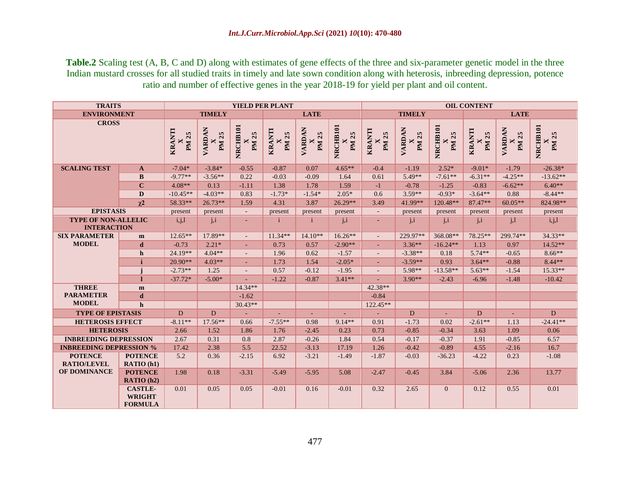**Table.2** Scaling test (A, B, C and D) along with estimates of gene effects of the three and six-parameter genetic model in the three Indian mustard crosses for all studied traits in timely and late sown condition along with heterosis, inbreeding depression, potence ratio and number of effective genes in the year 2018-19 for yield per plant and oil content.

| <b>TRAITS</b>                                    |                                                   |                             |                   | YIELD PER PLANT          |                             |                        |                          | <b>OIL CONTENT</b>            |                 |                          |                                       |                        |                          |  |  |
|--------------------------------------------------|---------------------------------------------------|-----------------------------|-------------------|--------------------------|-----------------------------|------------------------|--------------------------|-------------------------------|-----------------|--------------------------|---------------------------------------|------------------------|--------------------------|--|--|
| <b>ENVIRONMENT</b>                               |                                                   | <b>TIMELY</b>               |                   |                          | <b>LATE</b>                 |                        |                          |                               | <b>TIMELY</b>   |                          | <b>LATE</b>                           |                        |                          |  |  |
| <b>CROSS</b>                                     |                                                   | KRANTI<br>X<br><b>PM 25</b> | VARDAN<br>25<br>M | NRCHB101<br><b>PM 25</b> | KRANTI<br>X<br><b>PM 25</b> | VARDAN<br><b>PM 25</b> | NRCHB101<br><b>PM 25</b> | <b>KRANTI</b><br><b>PM 25</b> | VARDAN<br>PM 25 | NRCHB101<br>PM 25        | <b>KRANTI</b><br>25<br>M <sub>1</sub> | VARDAN<br><b>PM 25</b> | NRCHB101<br><b>PM 25</b> |  |  |
| <b>SCALING TEST</b>                              | $\mathbf{A}$                                      | $-7.04*$                    | $-3.84*$          | $-0.55$                  | $-0.87$                     | 0.07                   | $4.65**$                 | $-0.4$                        | $-1.19$         | $2.52*$                  | $-9.01*$                              | $-1.79$                | $-26.38*$                |  |  |
|                                                  | $\bf{B}$                                          | $-9.77**$                   | $-3.56**$         | 0.22                     | $-0.03$                     | $-0.09$                | 1.64                     | 0.61                          | $5.49**$        | $-7.61**$                | $-6.31**$                             | $-4.25**$              | $-13.62**$               |  |  |
|                                                  | $\mathbf C$                                       | $4.08**$                    | 0.13              | $-1.11$                  | 1.38                        | 1.78                   | 1.59                     | $-1$                          | $-0.78$         | $-1.25$                  | $-0.83$                               | $-6.62**$              | $6.40**$                 |  |  |
|                                                  | D                                                 | $-10.45**$                  | $-4.03**$         | 0.83                     | $-1.73*$                    | $-1.54*$               | $2.05*$                  | 0.6                           | $3.59**$        | $-0.93*$                 | $-3.64**$                             | 0.88                   | $-8.44**$                |  |  |
|                                                  | $\chi^2$                                          | 58.33**                     | $26.73**$         | 1.59                     | 4.31                        | 3.87                   | $26.29**$                | 3.49                          | 41.99**         | $120.48**$               | 87.47**                               | $60.05**$              | 824.98**                 |  |  |
| <b>EPISTASIS</b>                                 |                                                   | present                     | present           | $\overline{\phantom{a}}$ | present                     | present                | present                  | $\mathcal{L}_{\mathcal{A}}$   | present         | present                  | present                               | present                | present                  |  |  |
| <b>TYPE OF NON-ALLELIC</b><br><b>INTERACTION</b> |                                                   | i, j, l                     | j, i              | ÷                        | i                           |                        | j, i                     | ٠                             | j, i            | $\mathbf{i}, \mathbf{i}$ | j, i                                  | j, l                   | i,j,l                    |  |  |
| <b>SIX PARAMETER</b>                             | m                                                 | $12.65**$                   | 17.89**           |                          | $11.34**$                   | $14.10**$              | $16.26**$                |                               | 229.97**        | 368.08**                 | 78.25**                               | 299.74**               | 34.33**                  |  |  |
| <b>MODEL</b>                                     | d                                                 | $-0.73$                     | $2.21*$           |                          | 0.73                        | 0.57                   | $-2.90**$                |                               | $3.36**$        | $-16.24**$               | 1.13                                  | 0.97                   | $14.52**$                |  |  |
|                                                  | $\mathbf h$                                       | 24.19**                     | $4.04**$          |                          | 1.96                        | 0.62                   | $-1.57$                  |                               | $-3.38**$       | 0.18                     | $5.74**$                              | $-0.65$                | $8.66**$                 |  |  |
|                                                  | j                                                 | $20.90**$                   | $4.03**$          | ÷.                       | 1.73                        | 1.54                   | $-2.05*$                 | ÷                             | $-3.59**$       | 0.93                     | $3.64**$                              | $-0.88$                | $8.44**$                 |  |  |
|                                                  |                                                   | $-2.73**$                   | 1.25              | $\overline{\phantom{a}}$ | 0.57                        | $-0.12$                | $-1.95$                  | $\overline{\phantom{a}}$      | $5.98**$        | $-13.58**$               | $5.63**$                              | $-1.54$                | $15.33**$                |  |  |
|                                                  | п                                                 | $-37.72*$                   | $-5.00*$          |                          | $-1.22$                     | $-0.87$                | $3.41**$                 |                               | $3.90**$        | $-2.43$                  | $-6.96$                               | $-1.48$                | $-10.42$                 |  |  |
| <b>THREE</b>                                     | m                                                 |                             |                   | $14.34**$                |                             |                        |                          | 42.38**                       |                 |                          |                                       |                        |                          |  |  |
| <b>PARAMETER</b>                                 | d                                                 |                             |                   | $-1.62$                  |                             |                        |                          | $-0.84$                       |                 |                          |                                       |                        |                          |  |  |
| <b>MODEL</b>                                     | $\mathbf{h}$                                      |                             |                   | $30.43**$                |                             |                        |                          | $122.45**$                    |                 |                          |                                       |                        |                          |  |  |
| <b>TYPE OF EPISTASIS</b>                         |                                                   | D                           | D                 |                          |                             |                        |                          |                               | D               |                          | D                                     |                        | D                        |  |  |
| <b>HETEROSIS EFFECT</b>                          |                                                   | $-8.11**$                   | $17.56**$         | 0.66                     | $-7.55**$                   | 0.98                   | $9.14**$                 | 0.91                          | $-1.73$         | 0.02                     | $-2.61**$                             | 1.13                   | $-24.41**$               |  |  |
| <b>HETEROSIS</b>                                 |                                                   | 2.66                        | 1.52              | 1.86                     | 1.76                        | $-2.45$                | 0.23                     | 0.73                          | $-0.85$         | $-0.34$                  | 3.63                                  | 1.09                   | 0.06                     |  |  |
| <b>INBREEDING DEPRESSION</b>                     |                                                   | 2.67                        | 0.31              | 0.8                      | 2.87                        | $-0.26$                | 1.84                     | 0.54                          | $-0.17$         | $-0.37$                  | 1.91                                  | $-0.85$                | 6.57                     |  |  |
| <b>INBREEDING DEPRESSION %</b>                   |                                                   | 17.42                       | 2.38              | 5.5                      | 22.52                       | $-3.13$                | 17.19                    | 1.26                          | $-0.42$         | $-0.89$                  | 4.55                                  | $-2.16$                | 16.7                     |  |  |
| <b>POTENCE</b><br><b>RATIO/LEVEL</b>             | <b>POTENCE</b><br>RATIO (h1)                      | 5.2                         | 0.36              | $-2.15$                  | 6.92                        | $-3.21$                | $-1.49$                  | $-1.87$                       | $-0.03$         | $-36.23$                 | $-4.22$                               | 0.23                   | $-1.08$                  |  |  |
| OF DOMINANCE                                     | <b>POTENCE</b><br>RATIO (h2)                      | 1.98                        | 0.18              | $-3.31$                  | $-5.49$                     | $-5.95$                | 5.08                     | $-2.47$                       | $-0.45$         | 3.84                     | $-5.06$                               | 2.36                   | 13.77                    |  |  |
|                                                  | <b>CASTLE-</b><br><b>WRIGHT</b><br><b>FORMULA</b> | 0.01                        | 0.05              | 0.05                     | $-0.01$                     | 0.16                   | $-0.01$                  | 0.32                          | 2.65            | $\overline{0}$           | 0.12                                  | 0.55                   | 0.01                     |  |  |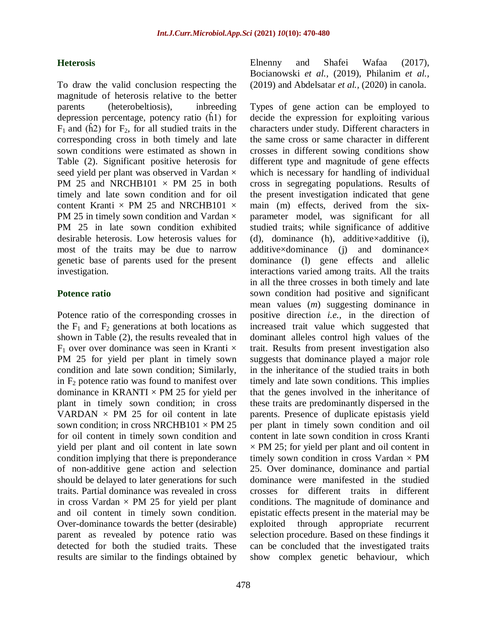### **Heterosis**

To draw the valid conclusion respecting the magnitude of heterosis relative to the better parents (heterobeltiosis), inbreeding depression percentage, potency ratio (ĥ1) for  $F_1$  and (h2) for  $F_2$ , for all studied traits in the corresponding cross in both timely and late sown conditions were estimated as shown in Table (2). Significant positive heterosis for seed yield per plant was observed in Vardan  $\times$ PM 25 and NRCHB101  $\times$  PM 25 in both timely and late sown condition and for oil content Kranti  $\times$  PM 25 and NRCHB101  $\times$ PM 25 in timely sown condition and Vardan  $\times$ PM 25 in late sown condition exhibited desirable heterosis. Low heterosis values for most of the traits may be due to narrow genetic base of parents used for the present investigation.

### **Potence ratio**

Potence ratio of the corresponding crosses in the  $F_1$  and  $F_2$  generations at both locations as shown in Table (2), the results revealed that in  $F_1$  over over dominance was seen in Kranti  $\times$ PM 25 for yield per plant in timely sown condition and late sown condition; Similarly, in  $F<sub>2</sub>$  potence ratio was found to manifest over dominance in KRANTI  $\times$  PM 25 for yield per plant in timely sown condition; in cross VARDAN  $\times$  PM 25 for oil content in late sown condition; in cross NRCHB101  $\times$  PM 25 for oil content in timely sown condition and yield per plant and oil content in late sown condition implying that there is preponderance of non-additive gene action and selection should be delayed to later generations for such traits. Partial dominance was revealed in cross in cross Vardan  $\times$  PM 25 for yield per plant and oil content in timely sown condition. Over-dominance towards the better (desirable) parent as revealed by potence ratio was detected for both the studied traits. These results are similar to the findings obtained by

Elnenny and Shafei Wafaa (2017), Bocianowski *et al.,* (2019), Philanim *et al.,* (2019) and Abdelsatar *et al.,* (2020) in canola.

Types of gene action can be employed to decide the expression for exploiting various characters under study. Different characters in the same cross or same character in different crosses in different sowing conditions show different type and magnitude of gene effects which is necessary for handling of individual cross in segregating populations. Results of the present investigation indicated that gene main (m) effects, derived from the sixparameter model, was significant for all studied traits; while significance of additive (d), dominance (h), additive×additive (i), additive×dominance (j) and dominance× dominance (l) gene effects and allelic interactions varied among traits. All the traits in all the three crosses in both timely and late sown condition had positive and significant mean values (*m*) suggesting dominance in positive direction *i.e.,* in the direction of increased trait value which suggested that dominant alleles control high values of the trait. Results from present investigation also suggests that dominance played a major role in the inheritance of the studied traits in both timely and late sown conditions. This implies that the genes involved in the inheritance of these traits are predominantly dispersed in the parents. Presence of duplicate epistasis yield per plant in timely sown condition and oil content in late sown condition in cross Kranti  $\times$  PM 25; for yield per plant and oil content in timely sown condition in cross Vardan  $\times$  PM 25. Over dominance, dominance and partial dominance were manifested in the studied crosses for different traits in different conditions. The magnitude of dominance and epistatic effects present in the material may be exploited through appropriate recurrent selection procedure. Based on these findings it can be concluded that the investigated traits show complex genetic behaviour, which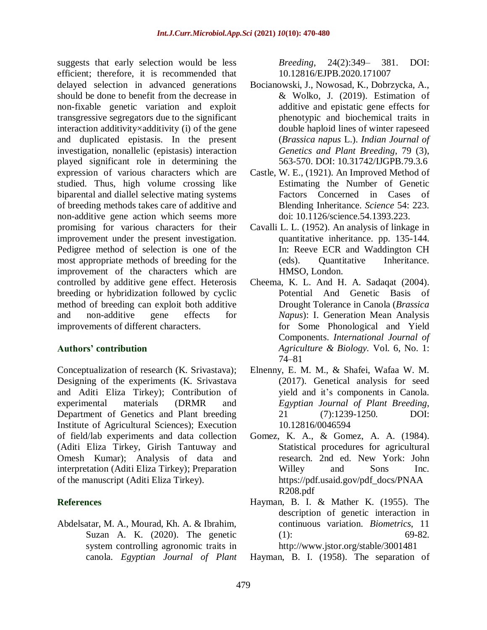suggests that early selection would be less efficient; therefore, it is recommended that delayed selection in advanced generations should be done to benefit from the decrease in non-fixable genetic variation and exploit transgressive segregators due to the significant interaction additivity $\times$ additivity (i) of the gene and duplicated epistasis. In the present investigation, nonallelic (epistasis) interaction played significant role in determining the expression of various characters which are studied. Thus, high volume crossing like biparental and diallel selective mating systems of breeding methods takes care of additive and non-additive gene action which seems more promising for various characters for their improvement under the present investigation. Pedigree method of selection is one of the most appropriate methods of breeding for the improvement of the characters which are controlled by additive gene effect. Heterosis breeding or hybridization followed by cyclic method of breeding can exploit both additive and non-additive gene effects for improvements of different characters.

# **Authors' contribution**

Conceptualization of research (K. Srivastava); Designing of the experiments (K. Srivastava and Aditi Eliza Tirkey); Contribution of experimental materials (DRMR and Department of Genetics and Plant breeding Institute of Agricultural Sciences); Execution of field/lab experiments and data collection (Aditi Eliza Tirkey, Girish Tantuway and Omesh Kumar); Analysis of data and interpretation (Aditi Eliza Tirkey); Preparation of the manuscript (Aditi Eliza Tirkey).

# **References**

Abdelsatar, M. A., Mourad, Kh. A. & Ibrahim, Suzan A. K. (2020). The genetic system controlling agronomic traits in canola. *Egyptian Journal of Plant* *Breeding*, 24(2):349– 381. DOI: 10.12816/EJPB.2020.171007

- Bocianowski, J., Nowosad, K., Dobrzycka, A., & Wolko, J. (2019). Estimation of additive and epistatic gene effects for phenotypic and biochemical traits in double haploid lines of winter rapeseed (*Brassica napus* L.). *Indian Journal of Genetics and Plant Breeding*, 79 (3), 563-570. DOI: 10.31742/IJGPB.79.3.6
- Castle, W. E., (1921). An Improved Method of Estimating the Number of Genetic Factors Concerned in Cases of Blending Inheritance. *Science* 54: 223. doi: 10.1126/science.54.1393.223.
- Cavalli L. L. (1952). An analysis of linkage in quantitative inheritance. pp. 135-144. In: Reeve ECR and Waddington CH (eds). Quantitative Inheritance. HMSO, London.
- Cheema, K. L. And H. A. Sadaqat (2004). Potential And Genetic Basis of Drought Tolerance in Canola (*Brassica Napus*): I. Generation Mean Analysis for Some Phonological and Yield Components. *International Journal of Agriculture & Biology.* Vol. 6, No. 1: 74–81
- Elnenny, E. M. M., & Shafei, Wafaa W. M. (2017). Genetical analysis for seed yield and it's components in Canola. *Egyptian Journal of Plant Breeding*, 21 (7):1239-1250. DOI: 10.12816/0046594
- Gomez, K. A., & Gomez, A. A. (1984). Statistical procedures for agricultural research. 2nd ed. New York: John Willey and Sons Inc. https://pdf.usaid.gov/pdf\_docs/PNAA R208.pdf
- Hayman, B. I. & Mather K. (1955). The description of genetic interaction in continuous variation. *Biometrics*, 11  $(1):$  69-82. http://www.jstor.org/stable/3001481
- Hayman, B. I. (1958). The separation of